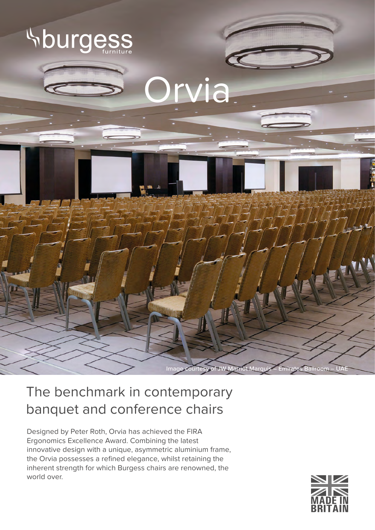

## The benchmark in contemporary banquet and conference chairs

Designed by Peter Roth, Orvia has achieved the FIRA Ergonomics Excellence Award. Combining the latest innovative design with a unique, asymmetric aluminium frame, the Orvia possesses a refined elegance, whilst retaining the inherent strength for which Burgess chairs are renowned, the world over.